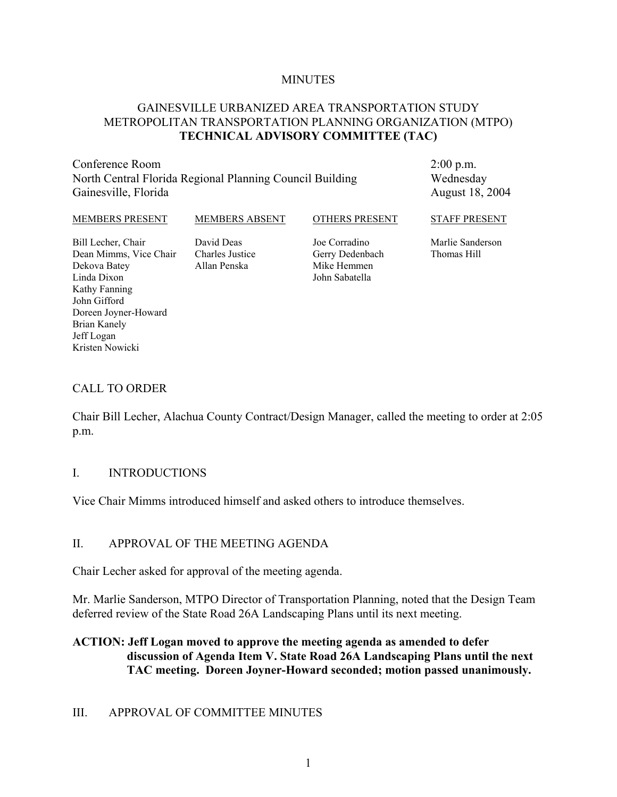#### **MINUTES**

#### GAINESVILLE URBANIZED AREA TRANSPORTATION STUDY METROPOLITAN TRANSPORTATION PLANNING ORGANIZATION (MTPO) **TECHNICAL ADVISORY COMMITTEE (TAC)**

Conference Room North Central Florida Regional Planning Council Building Gainesville, Florida

2:00 p.m. Wednesday August 18, 2004

#### MEMBERS PRESENT

MEMBERS ABSENT

OTHERS PRESENT

STAFF PRESENT

Bill Lecher, Chair Dean Mimms, Vice Chair Dekova Batey Linda Dixon Kathy Fanning John Gifford Doreen Joyner-Howard Brian Kanely Jeff Logan Kristen Nowicki

David Deas Charles Justice Allan Penska

Joe Corradino Gerry Dedenbach Mike Hemmen John Sabatella

Marlie Sanderson Thomas Hill

#### CALL TO ORDER

Chair Bill Lecher, Alachua County Contract/Design Manager, called the meeting to order at 2:05 p.m.

#### I. INTRODUCTIONS

Vice Chair Mimms introduced himself and asked others to introduce themselves.

#### II. APPROVAL OF THE MEETING AGENDA

Chair Lecher asked for approval of the meeting agenda.

Mr. Marlie Sanderson, MTPO Director of Transportation Planning, noted that the Design Team deferred review of the State Road 26A Landscaping Plans until its next meeting.

#### **ACTION: Jeff Logan moved to approve the meeting agenda as amended to defer discussion of Agenda Item V. State Road 26A Landscaping Plans until the next TAC meeting. Doreen Joyner-Howard seconded; motion passed unanimously.**

#### III. APPROVAL OF COMMITTEE MINUTES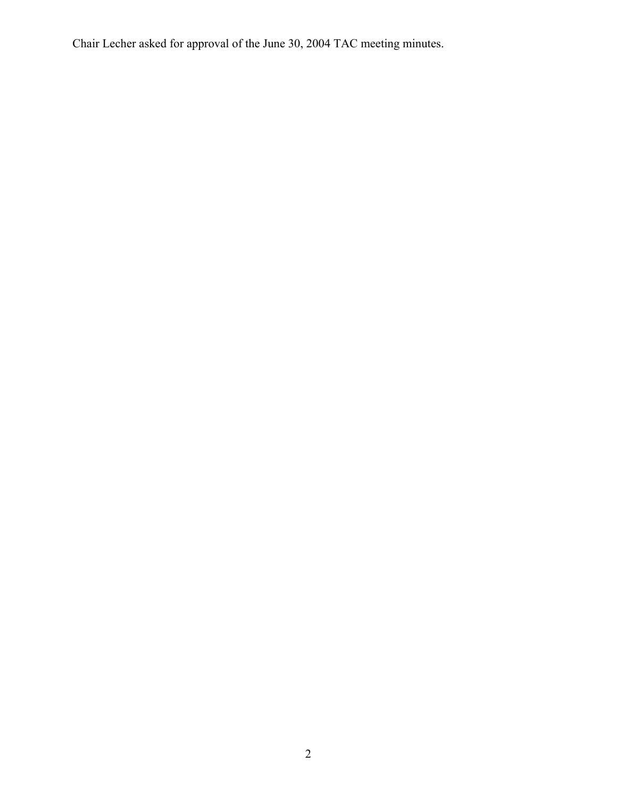Chair Lecher asked for approval of the June 30, 2004 TAC meeting minutes.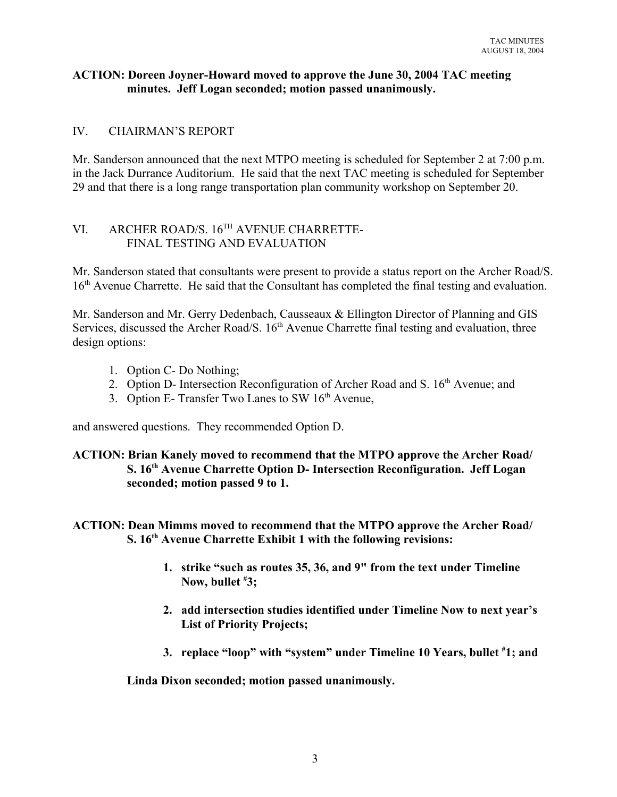#### **ACTION: Doreen Joyner-Howard moved to approve the June 30, 2004 TAC meeting minutes. Jeff Logan seconded; motion passed unanimously.**

#### IV. CHAIRMAN'S REPORT

Mr. Sanderson announced that the next MTPO meeting is scheduled for September 2 at 7:00 p.m. in the Jack Durrance Auditorium. He said that the next TAC meeting is scheduled for September 29 and that there is a long range transportation plan community workshop on September 20.

# VI. ARCHER ROAD/S. 16TH AVENUE CHARRETTE-FINAL TESTING AND EVALUATION

Mr. Sanderson stated that consultants were present to provide a status report on the Archer Road/S. 16<sup>th</sup> Avenue Charrette. He said that the Consultant has completed the final testing and evaluation.

Mr. Sanderson and Mr. Gerry Dedenbach, Causseaux & Ellington Director of Planning and GIS Services, discussed the Archer Road/S. 16<sup>th</sup> Avenue Charrette final testing and evaluation, three design options:

- 1. Option C- Do Nothing;
- 2. Option D- Intersection Reconfiguration of Archer Road and S. 16<sup>th</sup> Avenue; and
- 3. Option E- Transfer Two Lanes to SW  $16<sup>th</sup>$  Avenue,

and answered questions. They recommended Option D.

#### **ACTION: Brian Kanely moved to recommend that the MTPO approve the Archer Road/ S. 16th Avenue Charrette Option D- Intersection Reconfiguration. Jeff Logan seconded; motion passed 9 to 1.**

#### **ACTION: Dean Mimms moved to recommend that the MTPO approve the Archer Road/ S. 16th Avenue Charrette Exhibit 1 with the following revisions:**

- **1. strike "such as routes 35, 36, and 9" from the text under Timeline Now, bullet # 3;**
- **2. add intersection studies identified under Timeline Now to next year's List of Priority Projects;**
- **3. replace "loop" with "system" under Timeline 10 Years, bullet # 1; and**

**Linda Dixon seconded; motion passed unanimously.**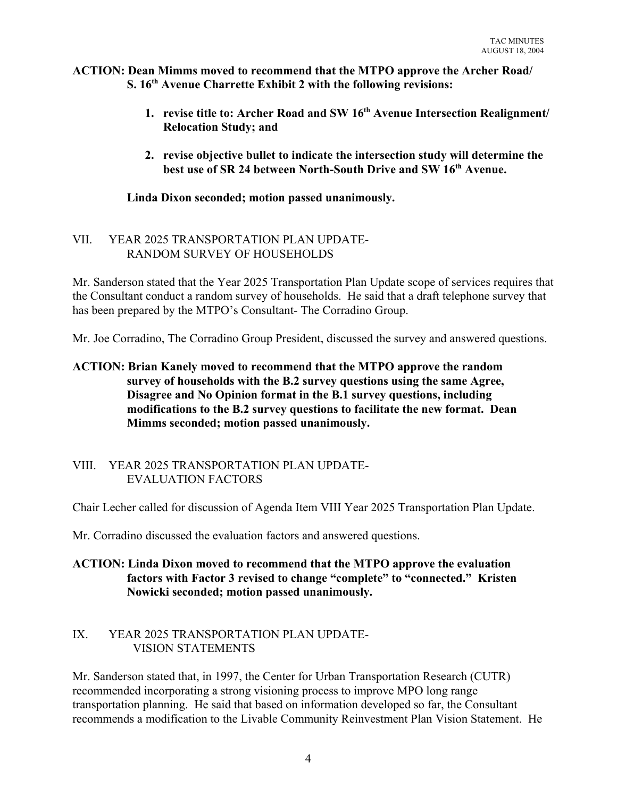#### **ACTION: Dean Mimms moved to recommend that the MTPO approve the Archer Road/ S. 16th Avenue Charrette Exhibit 2 with the following revisions:**

- **1. revise title to: Archer Road and SW 16th Avenue Intersection Realignment/ Relocation Study; and**
- **2. revise objective bullet to indicate the intersection study will determine the best use of SR 24 between North-South Drive and SW 16th Avenue.**

### **Linda Dixon seconded; motion passed unanimously.**

# VII. YEAR 2025 TRANSPORTATION PLAN UPDATE-RANDOM SURVEY OF HOUSEHOLDS

Mr. Sanderson stated that the Year 2025 Transportation Plan Update scope of services requires that the Consultant conduct a random survey of households. He said that a draft telephone survey that has been prepared by the MTPO's Consultant- The Corradino Group.

Mr. Joe Corradino, The Corradino Group President, discussed the survey and answered questions.

# **ACTION: Brian Kanely moved to recommend that the MTPO approve the random survey of households with the B.2 survey questions using the same Agree, Disagree and No Opinion format in the B.1 survey questions, including modifications to the B.2 survey questions to facilitate the new format. Dean Mimms seconded; motion passed unanimously.**

#### VIII. YEAR 2025 TRANSPORTATION PLAN UPDATE-EVALUATION FACTORS

Chair Lecher called for discussion of Agenda Item VIII Year 2025 Transportation Plan Update.

Mr. Corradino discussed the evaluation factors and answered questions.

# **ACTION: Linda Dixon moved to recommend that the MTPO approve the evaluation factors with Factor 3 revised to change "complete" to "connected." Kristen Nowicki seconded; motion passed unanimously.**

#### IX. YEAR 2025 TRANSPORTATION PLAN UPDATE- VISION STATEMENTS

Mr. Sanderson stated that, in 1997, the Center for Urban Transportation Research (CUTR) recommended incorporating a strong visioning process to improve MPO long range transportation planning. He said that based on information developed so far, the Consultant recommends a modification to the Livable Community Reinvestment Plan Vision Statement. He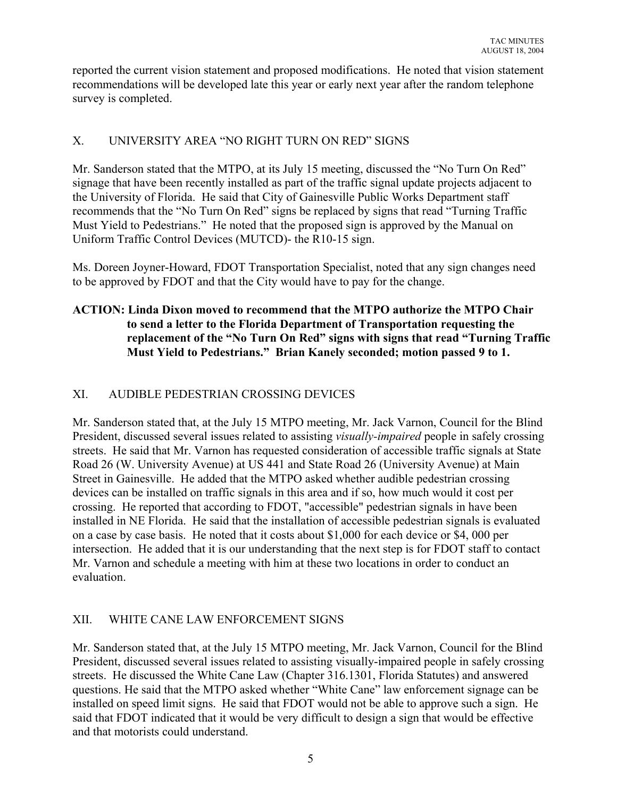reported the current vision statement and proposed modifications. He noted that vision statement recommendations will be developed late this year or early next year after the random telephone survey is completed.

# X. UNIVERSITY AREA "NO RIGHT TURN ON RED" SIGNS

Mr. Sanderson stated that the MTPO, at its July 15 meeting, discussed the "No Turn On Red" signage that have been recently installed as part of the traffic signal update projects adjacent to the University of Florida. He said that City of Gainesville Public Works Department staff recommends that the "No Turn On Red" signs be replaced by signs that read "Turning Traffic Must Yield to Pedestrians." He noted that the proposed sign is approved by the Manual on Uniform Traffic Control Devices (MUTCD)- the R10-15 sign.

Ms. Doreen Joyner-Howard, FDOT Transportation Specialist, noted that any sign changes need to be approved by FDOT and that the City would have to pay for the change.

# **ACTION: Linda Dixon moved to recommend that the MTPO authorize the MTPO Chair to send a letter to the Florida Department of Transportation requesting the replacement of the "No Turn On Red" signs with signs that read "Turning Traffic Must Yield to Pedestrians." Brian Kanely seconded; motion passed 9 to 1.**

# XI. AUDIBLE PEDESTRIAN CROSSING DEVICES

Mr. Sanderson stated that, at the July 15 MTPO meeting, Mr. Jack Varnon, Council for the Blind President, discussed several issues related to assisting *visually-impaired* people in safely crossing streets. He said that Mr. Varnon has requested consideration of accessible traffic signals at State Road 26 (W. University Avenue) at US 441 and State Road 26 (University Avenue) at Main Street in Gainesville. He added that the MTPO asked whether audible pedestrian crossing devices can be installed on traffic signals in this area and if so, how much would it cost per crossing. He reported that according to FDOT, "accessible" pedestrian signals in have been installed in NE Florida. He said that the installation of accessible pedestrian signals is evaluated on a case by case basis. He noted that it costs about \$1,000 for each device or \$4, 000 per intersection. He added that it is our understanding that the next step is for FDOT staff to contact Mr. Varnon and schedule a meeting with him at these two locations in order to conduct an evaluation.

# XII. WHITE CANE LAW ENFORCEMENT SIGNS

Mr. Sanderson stated that, at the July 15 MTPO meeting, Mr. Jack Varnon, Council for the Blind President, discussed several issues related to assisting visually-impaired people in safely crossing streets. He discussed the White Cane Law (Chapter 316.1301, Florida Statutes) and answered questions. He said that the MTPO asked whether "White Cane" law enforcement signage can be installed on speed limit signs. He said that FDOT would not be able to approve such a sign. He said that FDOT indicated that it would be very difficult to design a sign that would be effective and that motorists could understand.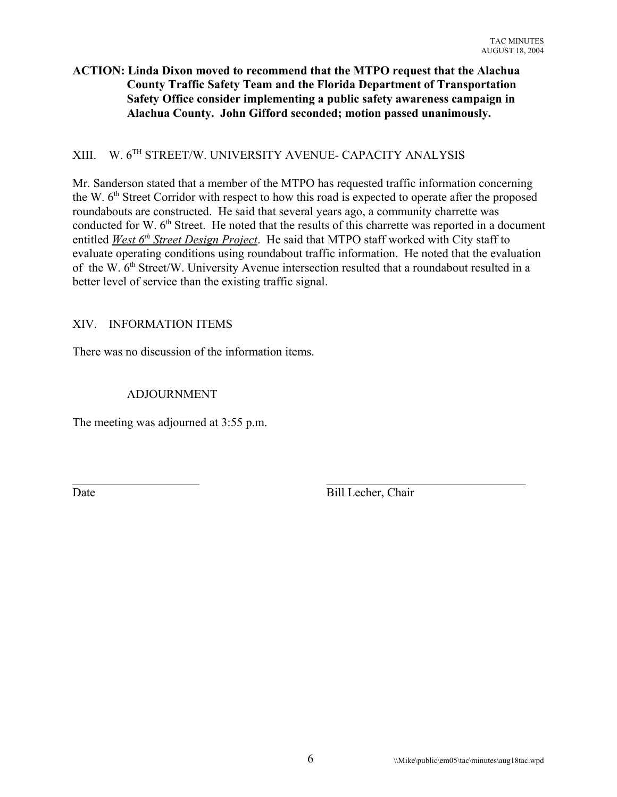### **ACTION: Linda Dixon moved to recommend that the MTPO request that the Alachua County Traffic Safety Team and the Florida Department of Transportation Safety Office consider implementing a public safety awareness campaign in Alachua County. John Gifford seconded; motion passed unanimously.**

# XIII. W. 6TH STREET/W. UNIVERSITY AVENUE- CAPACITY ANALYSIS

Mr. Sanderson stated that a member of the MTPO has requested traffic information concerning the W. 6<sup>th</sup> Street Corridor with respect to how this road is expected to operate after the proposed roundabouts are constructed. He said that several years ago, a community charrette was conducted for W. 6<sup>th</sup> Street. He noted that the results of this charrette was reported in a document entitled *West 6<sup>th</sup> Street Design Project*. He said that MTPO staff worked with City staff to evaluate operating conditions using roundabout traffic information. He noted that the evaluation of the W.  $6<sup>th</sup>$  Street/W. University Avenue intersection resulted that a roundabout resulted in a better level of service than the existing traffic signal.

#### XIV. INFORMATION ITEMS

There was no discussion of the information items.

#### ADJOURNMENT

The meeting was adjourned at 3:55 p.m.

 $\_$  , and the contribution of the contribution of  $\_$  . The contribution of the contribution of  $\_$ Date Bill Lecher, Chair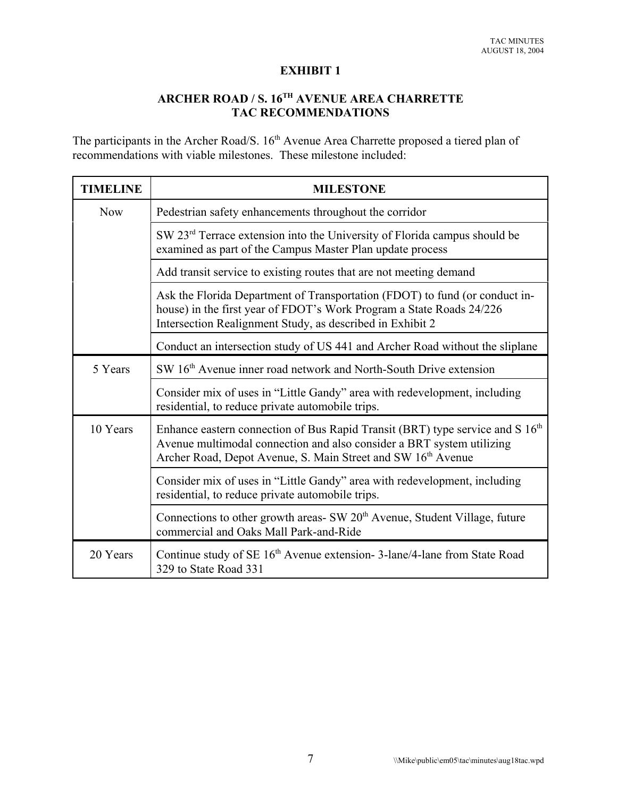#### **EXHIBIT 1**

# **ARCHER ROAD / S. 16TH AVENUE AREA CHARRETTE TAC RECOMMENDATIONS**

The participants in the Archer Road/S. 16<sup>th</sup> Avenue Area Charrette proposed a tiered plan of recommendations with viable milestones. These milestone included:

| <b>TIMELINE</b> | <b>MILESTONE</b>                                                                                                                                                                                                                   |
|-----------------|------------------------------------------------------------------------------------------------------------------------------------------------------------------------------------------------------------------------------------|
| <b>Now</b>      | Pedestrian safety enhancements throughout the corridor                                                                                                                                                                             |
|                 | SW 23 <sup>rd</sup> Terrace extension into the University of Florida campus should be<br>examined as part of the Campus Master Plan update process                                                                                 |
|                 | Add transit service to existing routes that are not meeting demand                                                                                                                                                                 |
|                 | Ask the Florida Department of Transportation (FDOT) to fund (or conduct in-<br>house) in the first year of FDOT's Work Program a State Roads 24/226<br>Intersection Realignment Study, as described in Exhibit 2                   |
|                 | Conduct an intersection study of US 441 and Archer Road without the sliplane                                                                                                                                                       |
| 5 Years         | SW 16 <sup>th</sup> Avenue inner road network and North-South Drive extension                                                                                                                                                      |
|                 | Consider mix of uses in "Little Gandy" area with redevelopment, including<br>residential, to reduce private automobile trips.                                                                                                      |
| 10 Years        | Enhance eastern connection of Bus Rapid Transit (BRT) type service and S 16 <sup>th</sup><br>Avenue multimodal connection and also consider a BRT system utilizing<br>Archer Road, Depot Avenue, S. Main Street and SW 16th Avenue |
|                 | Consider mix of uses in "Little Gandy" area with redevelopment, including<br>residential, to reduce private automobile trips.                                                                                                      |
|                 | Connections to other growth areas- SW 20 <sup>th</sup> Avenue, Student Village, future<br>commercial and Oaks Mall Park-and-Ride                                                                                                   |
| 20 Years        | Continue study of SE 16 <sup>th</sup> Avenue extension-3-lane/4-lane from State Road<br>329 to State Road 331                                                                                                                      |